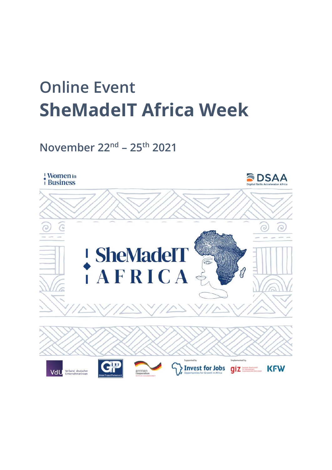# **Online Event SheMadeIT Africa Week**

**November 22nd – 25th 2021**

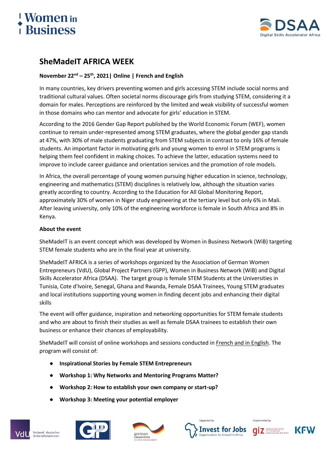# *N*omen in **Rusiness**



## **SheMadeIT AFRICA WEEK**

#### **November 22nd – 25th, 2021| Online | French and English**

In many countries, key drivers preventing women and girls accessing STEM include social norms and traditional cultural values. Often societal norms discourage girls from studying STEM, considering it a domain for males. Perceptions are reinforced by the limited and weak visibility of successful women in those domains who can mentor and advocate for girls' education in STEM.

According to the 2016 Gender Gap Report published by the World Economic Forum (WEF), women continue to remain under-represented among STEM graduates, where the global gender gap stands at 47%, with 30% of male students graduating from STEM subjects in contrast to only 16% of female students. An important factor in motivating girls and young women to enrol in STEM programs is helping them feel confident in making choices. To achieve the latter, education systems need to improve to include career guidance and orientation services and the promotion of role models.

In Africa, the overall percentage of young women pursuing higher education in science, technology, engineering and mathematics (STEM) disciplines is relatively low, although the situation varies greatly according to country. According to the Education for All Global Monitoring Report, approximately 30% of women in Niger study engineering at the tertiary level but only 6% in Mali. After leaving university, only 10% of the engineering workforce is female in South Africa and 8% in Kenya.

#### **About the event**

SheMadeIT is an event concept which was developed by Women in Business Network (WiB) targeting STEM female students who are in the final year at university.

SheMadeIT AFRICA is a series of workshops organized by the Association of German Women Entrepreneurs (VdU), Global Project Partners (GPP), Women in Business Network (WiB) and Digital Skills Accelerator Africa (DSAA). The target group is female STEM Students at the Universities in Tunisia, Cote d'Ivoire, Senegal, Ghana and Rwanda, Female DSAA Trainees, Young STEM graduates and local institutions supporting young women in finding decent jobs and enhancing their digital skills

The event will offer guidance, inspiration and networking opportunities for STEM female students and who are about to finish their studies as well as female DSAA trainees to establish their own business or enhance their chances of employability.

SheMadeIT will consist of online workshops and sessions conducted in French and in English. The program will consist of:

- **Inspirational Stories by Female STEM Entrepreneurs**
- **Workshop 1: Why Networks and Mentoring Programs Matter?**
- **Workshop 2: How to establish your own company or start-up?**
- **Workshop 3: Meeting your potential employer**







Implemented by

**Cautische Gesellschaft** 

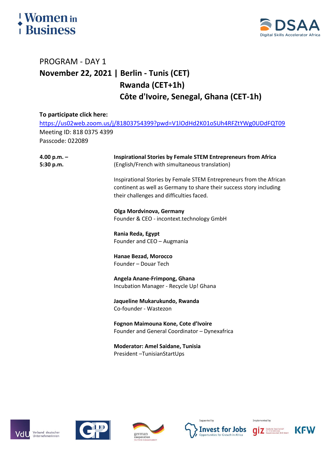# **Women** in **Business**



# PROGRAM - DAY 1 **November 22, 2021 | Berlin - Tunis (CET) Rwanda (CET+1h) Côte d'Ivoire, Senegal, Ghana (CET-1h)**

## **To participate click here:** <https://us02web.zoom.us/j/81803754399?pwd=V1lOdHd2K01oSUh4RFZtYWg0UDdFQT09> Meeting ID: 818 0375 4399 Passcode: 022089 **4.00 p.m. – 5:30 p.m. Inspirational Stories by Female STEM Entrepreneurs from Africa** (English/French with simultaneous translation) Inspirational Stories by Female STEM Entrepreneurs from the African continent as well as Germany to share their success story including their challenges and difficulties faced. **Olga Mordvinova, Germany** Founder & CEO - incontext.technology GmbH **Rania Reda, Egypt** Founder and CEO – Augmania **Hanae Bezad, Morocco** Founder – Douar Tech **Angela Anane-Frimpong, Ghana**  Incubation Manager - Recycle Up! Ghana **Jaqueline Mukarukundo, Rwanda** Co-founder - Wastezon **Fognon Maimouna Kone, Cote d'Ivoire** Founder and General Coordinator – Dynexafrica **Moderator: Amel Saidane, Tunisia** President –TunisianStartUps









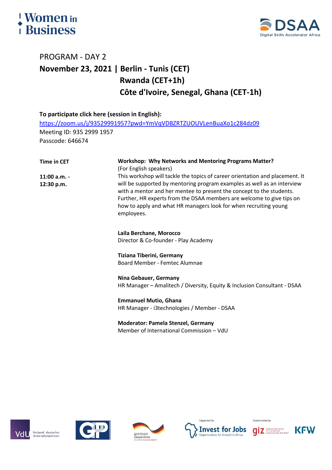# *<u><u>Women</u>* in Business</u>



# PROGRAM - DAY 2 **November 23, 2021 | Berlin - Tunis (CET) Rwanda (CET+1h) Côte d'Ivoire, Senegal, Ghana (CET-1h)**

| To participate click here (session in English): |                                                                                                                                                                                                                                                                                                                                                                                            |
|-------------------------------------------------|--------------------------------------------------------------------------------------------------------------------------------------------------------------------------------------------------------------------------------------------------------------------------------------------------------------------------------------------------------------------------------------------|
|                                                 | https://zoom.us/j/93529991957?pwd=YmVqVDBZRTZUOUVLenBuaXo1c284dz09                                                                                                                                                                                                                                                                                                                         |
| Meeting ID: 935 2999 1957                       |                                                                                                                                                                                                                                                                                                                                                                                            |
| Passcode: 646674                                |                                                                                                                                                                                                                                                                                                                                                                                            |
|                                                 |                                                                                                                                                                                                                                                                                                                                                                                            |
| <b>Time in CET</b>                              | <b>Workshop: Why Networks and Mentoring Programs Matter?</b><br>(For English speakers)                                                                                                                                                                                                                                                                                                     |
| $11:00$ a.m. -<br>12:30 p.m.                    | This workshop will tackle the topics of career orientation and placement. It<br>will be supported by mentoring program examples as well as an interview<br>with a mentor and her mentee to present the concept to the students.<br>Further, HR experts from the DSAA members are welcome to give tips on<br>how to apply and what HR managers look for when recruiting young<br>employees. |
|                                                 | Laila Berchane, Morocco<br>Director & Co-founder - Play Academy                                                                                                                                                                                                                                                                                                                            |
|                                                 | <b>Tiziana Tiberini, Germany</b><br><b>Board Member - Femtec Alumnae</b>                                                                                                                                                                                                                                                                                                                   |
|                                                 | Nina Gebauer, Germany<br>HR Manager - Amalitech / Diversity, Equity & Inclusion Consultant - DSAA                                                                                                                                                                                                                                                                                          |
|                                                 | <b>Emmanuel Mutio, Ghana</b><br>HR Manager - i3technologies / Member - DSAA                                                                                                                                                                                                                                                                                                                |
|                                                 | <b>Moderator: Pamela Stenzel, Germany</b><br>Member of International Commission - VdU                                                                                                                                                                                                                                                                                                      |









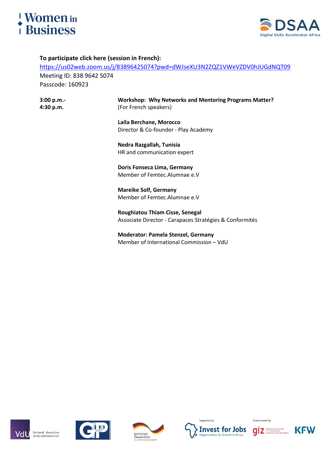

**3:00 p.m.- 4:30 p.m.**



#### **To participate click here (session in French):**

<https://us02web.zoom.us/j/83896425074?pwd=dWJseXU3N2ZQZ1VWeVZDV0hJUGdNQT09> Meeting ID: 838 9642 5074 Passcode: 160923

> **Workshop: Why Networks and Mentoring Programs Matter?**  (For French speakers)

**Laila Berchane, Morocco** Director & Co-founder - Play Academy

**Nedra Razgallah, Tunisia** HR and communication expert

**[Doris Fonseca Lima,](https://womeninbusiness-africa.com/success-stories/doris-fonseca-lima) Germany**  Member of [Femtec.Alumnae e.V](https://www.femtec-alumnae.org/)

**[Mareike Solf,](https://womeninbusiness-africa.com/success-stories/mareike-solf) Germany** Member of [Femtec.Alumnae e.V](https://www.femtec-alumnae.org/)

**Roughiatou Thiam Cisse, Senegal** Associate Director - Carapaces Stratégies & Conformités

**Moderator: Pamela Stenzel, Germany** Member of International Commission – VdU

Verband deutscher<br>Unternehmerinnen Vdl







Implemented by

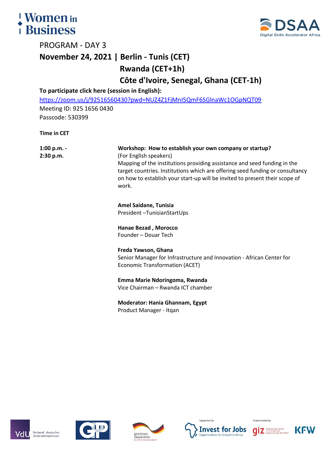



PROGRAM - DAY 3

## **November 24, 2021 | Berlin - Tunis (CET)**

**Rwanda (CET+1h)**

**Côte d'Ivoire, Senegal, Ghana (CET-1h)**

#### **To participate click here (session in English):**

<https://zoom.us/j/92516560430?pwd=NUZ4Z1FjMnI5QmF6SGlnaWc1OGpNQT09> Meeting ID: 925 1656 0430

Passcode: 530399

**Time in CET**

**1:00 p.m. - 2:30 p.m. Workshop: How to establish your own company or startup?** (For English speakers) Mapping of the institutions providing assistance and seed funding in the target countries. Institutions which are offering seed funding or consultancy on how to establish your start-up will be invited to present their scope of work. **Amel Saidane, Tunisia** President –TunisianStartUps **Hanae Bezad , Morocco** Founder – Douar Tech

> **Freda Yawson, Ghana** Senior Manager for Infrastructure and Innovation - African Center for Economic Transformation (ACET)

**Emma Marie Ndoringoma, Rwanda** Vice Chairman – Rwanda ICT chamber

**Moderator: Hania Ghannam, Egypt** Product Manager - Itqan

Verband deutscher /dl Unternehmerinner









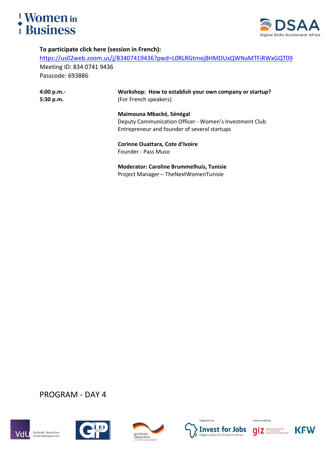



#### **To participate click here (session in French):**

<https://us02web.zoom.us/j/83407419436?pwd=L0RLRGtmejBHMDUxQWNaMTFiRWxGQT09>

Meeting ID: 834 0741 9436 Passcode: 693886

| 4:00 p.m.<br>5:30 p.m. | Workshop: How to establish your own company or startup?<br>(For French speakers) |
|------------------------|----------------------------------------------------------------------------------|
|                        | Maimouna Mbacké, Sénégal                                                         |
|                        | Deputy Communication Officer - Women's Investment Club                           |
|                        | Entrepreneur and founder of several startups                                     |
|                        | Corinne Ouattara, Cote d'Ivoire                                                  |
|                        | Founder - Pass Muso                                                              |
|                        | <b>Moderator: Caroline Brummelhuis, Tunisie</b>                                  |
|                        | Project Manager - TheNextWomenTunisie                                            |

#### PROGRAM - DAY 4